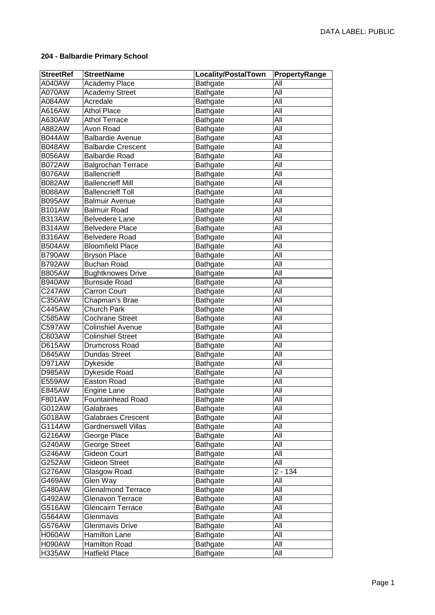## **204 - Balbardie Primary School**

| <b>StreetRef</b> | <b>StreetName</b>          | Locality/PostalTown | PropertyRange |
|------------------|----------------------------|---------------------|---------------|
| A040AW           | Academy Place              | <b>Bathgate</b>     | All           |
| A070AW           | <b>Academy Street</b>      | Bathgate            | All           |
| A084AW           | Acredale                   | Bathgate            | All           |
| A616AW           | <b>Athol Place</b>         | Bathgate            | All           |
| A630AW           | <b>Athol Terrace</b>       | Bathgate            | All           |
| A882AW           | Avon Road                  | Bathgate            | All           |
| <b>B044AW</b>    | <b>Balbardie Avenue</b>    | Bathgate            | All           |
| <b>B048AW</b>    | <b>Balbardie Crescent</b>  | Bathgate            | All           |
| <b>B056AW</b>    | <b>Balbardie Road</b>      | Bathgate            | All           |
| <b>B072AW</b>    | <b>Balgrochan Terrace</b>  | Bathgate            | All           |
| <b>B076AW</b>    | <b>Ballencrieff</b>        | <b>Bathgate</b>     | Āll           |
| <b>B082AW</b>    | <b>Ballencrieff Mill</b>   | Bathgate            | All           |
| <b>B088AW</b>    | <b>Ballencrieff Toll</b>   | Bathgate            | All           |
| <b>B095AW</b>    | <b>Balmuir Avenue</b>      | Bathgate            | All           |
| <b>B101AW</b>    | <b>Balmuir Road</b>        | Bathgate            | All           |
| <b>B313AW</b>    | <b>Belvedere Lane</b>      | <b>Bathgate</b>     | All           |
| <b>B314AW</b>    | <b>Belvedere Place</b>     | <b>Bathgate</b>     | All           |
| <b>B316AW</b>    | <b>Belvedere Road</b>      | Bathgate            | All           |
| <b>B504AW</b>    | <b>Bloomfield Place</b>    | Bathgate            | All           |
| <b>B790AW</b>    | <b>Bryson Place</b>        | Bathgate            | All           |
| <b>B792AW</b>    | <b>Buchan Road</b>         | Bathgate            | All           |
| <b>B805AW</b>    | <b>Bughtknowes Drive</b>   | Bathgate            | All           |
| <b>B940AW</b>    | <b>Burnside Road</b>       | Bathgate            | All           |
| C247AW           | <b>Carron Court</b>        | Bathgate            | All           |
| C350AW           | Chapman's Brae             | Bathgate            | All           |
| C445AW           | <b>Church Park</b>         | Bathgate            | All           |
| C585AW           | <b>Cochrane Street</b>     | Bathgate            | All           |
| C597AW           | <b>Colinshiel Avenue</b>   | Bathgate            | All           |
| C603AW           | <b>Colinshiel Street</b>   | Bathgate            | All           |
| <b>D615AW</b>    | Drumcross Road             | Bathgate            | All           |
| <b>D845AW</b>    | <b>Dundas Street</b>       | Bathgate            | All           |
| D971AW           | Dykeside                   | Bathgate            | All           |
| D985AW           | Dykeside Road              | <b>Bathgate</b>     | All           |
| E559AW           | Easton Road                | <b>Bathgate</b>     | All           |
| E845AW           | Engine Lane                | Bathgate            | All           |
| F801AW           | <b>Fountainhead Road</b>   | Bathgate            | All           |
| G012AW           | Galabraes                  | Bathgate            | All           |
| G018AW           | <b>Galabraes Crescent</b>  | <b>Bathgate</b>     | All           |
| G114AW           | <b>Gardnerswell Villas</b> | Bathgate            | All           |
| G216AW           | George Place               | <b>Bathgate</b>     | All           |
| G240AW           | George Street              | Bathgate            | All           |
| G246AW           | Gideon Court               | Bathgate            | All           |
| G252AW           | <b>Gideon Street</b>       | Bathgate            | All           |
| G276AW           | Glasgow Road               | <b>Bathgate</b>     | $2 - 134$     |
| G469AW           | Glen Way                   | <b>Bathgate</b>     | All           |
| G480AW           | Glenalmond Terrace         | Bathgate            | All           |
| G492AW           | Glenavon Terrace           | Bathgate            | All           |
| G516AW           | Glencairn Terrace          | Bathgate            | All           |
| G564AW           | Glenmavis                  | Bathgate            | All           |
| G576AW           | Glenmavis Drive            | <b>Bathgate</b>     | All           |
| <b>H060AW</b>    | Hamilton Lane              | Bathgate            | All           |
| <b>H090AW</b>    | <b>Hamilton Road</b>       | Bathgate            | All           |
| <b>H335AW</b>    | <b>Hatfield Place</b>      | Bathgate            | All           |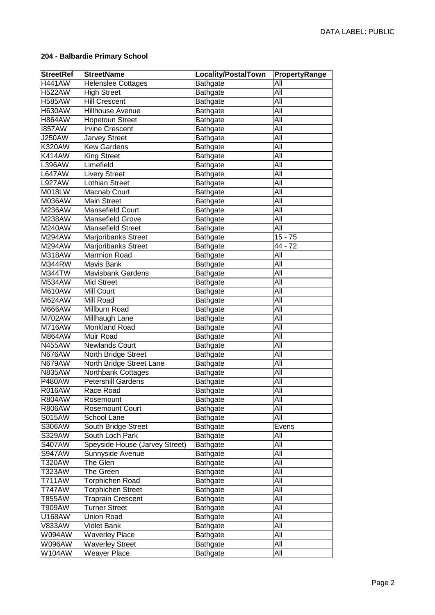## **204 - Balbardie Primary School**

| <b>StreetRef</b> | <b>StreetName</b>              | Locality/PostalTown | PropertyRange |
|------------------|--------------------------------|---------------------|---------------|
| <b>H441AW</b>    | <b>Helenslee Cottages</b>      | Bathgate            | All           |
| <b>H522AW</b>    | <b>High Street</b>             | Bathgate            | All           |
| <b>H585AW</b>    | <b>Hill Crescent</b>           | Bathgate            | All           |
| <b>H630AW</b>    | Hillhouse Avenue               | Bathgate            | All           |
| <b>H864AW</b>    | <b>Hopetoun Street</b>         | Bathgate            | All           |
| <b>1857AW</b>    | <b>Irvine Crescent</b>         | Bathgate            | All           |
| <b>J250AW</b>    | <b>Jarvey Street</b>           | Bathgate            | All           |
| <b>K320AW</b>    | <b>Kew Gardens</b>             | Bathgate            | All           |
| <b>K414AW</b>    | <b>King Street</b>             | Bathgate            | All           |
| <b>L396AW</b>    | Limefield                      | <b>Bathgate</b>     | Āll           |
| <b>L647AW</b>    | <b>Livery Street</b>           | Bathgate            | All           |
| <b>L927AW</b>    | <b>Lothian Street</b>          | Bathgate            | All           |
| M018LW           | Macnab Court                   | Bathgate            | All           |
| M036AW           | Main Street                    | Bathgate            | All           |
| M236AW           | <b>Mansefield Court</b>        | Bathgate            | All           |
| M238AW           | Mansefield Grove               | <b>Bathgate</b>     | All           |
| M240AW           | <b>Mansefield Street</b>       | Bathgate            | All           |
| M294AW           | <b>Marjoribanks Street</b>     | Bathgate            | $15 - 75$     |
| M294AW           | <b>Marjoribanks Street</b>     | Bathgate            | 44 - 72       |
| M318AW           | Marmion Road                   | Bathgate            | All           |
| <b>M344RW</b>    | Mavis Bank                     | Bathgate            | All           |
| M344TW           | <b>Mavisbank Gardens</b>       | Bathgate            | All           |
| <b>M534AW</b>    | <b>Mid Street</b>              | Bathgate            | All           |
| <b>M610AW</b>    | <b>Mill Court</b>              | Bathgate            | All           |
| <b>M624AW</b>    | Mill Road                      | Bathgate            | All           |
| <b>M666AW</b>    | Millburn Road                  | Bathgate            | All           |
| M702AW           | Millhaugh Lane                 | Bathgate            | All           |
| <b>M716AW</b>    | Monkland Road                  | Bathgate            | All           |
| M864AW           | Muir Road                      | Bathgate            | All           |
| <b>N455AW</b>    | <b>Newlands Court</b>          | Bathgate            | All           |
| <b>N676AW</b>    | North Bridge Street            | <b>Bathgate</b>     | All           |
| <b>N679AW</b>    | North Bridge Street Lane       | <b>Bathgate</b>     | All           |
| <b>N835AW</b>    | Northbank Cottages             | <b>Bathgate</b>     | All           |
| <b>P480AW</b>    | <b>Petershill Gardens</b>      | <b>Bathgate</b>     | All           |
| <b>R016AW</b>    | Race Road                      | Bathgate            | All           |
| <b>R804AW</b>    | Rosemount                      | Bathgate            | All           |
| <b>R806AW</b>    | <b>Rosemount Court</b>         | <b>Bathgate</b>     | All           |
| <b>S015AW</b>    | School Lane                    | Bathgate            | All           |
| S306AW           | South Bridge Street            | <b>Bathgate</b>     | Evens         |
| S329AW           | South Loch Park                | Bathgate            | All           |
| <b>S407AW</b>    | Speyside House (Jarvey Street) | Bathgate            | All           |
| <b>S947AW</b>    | Sunnyside Avenue               | Bathgate            | All           |
| T320AW           | The Glen                       | Bathgate            | All           |
| T323AW           | The Green                      | Bathgate            | All           |
| T711AW           | Torphichen Road                | Bathgate            | All           |
| <b>T747AW</b>    | Torphichen Street              | Bathgate            | All           |
| T855AW           | <b>Traprain Crescent</b>       | Bathgate            | All           |
| T909AW           | <b>Turner Street</b>           | Bathgate            | All           |
| U168AW           | <b>Union Road</b>              | <b>Bathgate</b>     | All           |
| <b>V833AW</b>    | <b>Violet Bank</b>             | Bathgate            | All           |
| W094AW           | <b>Waverley Place</b>          | Bathgate            | All           |
| <b>W096AW</b>    | <b>Waverley Street</b>         | Bathgate            | All           |
| W104AW           | <b>Weaver Place</b>            | Bathgate            | All           |